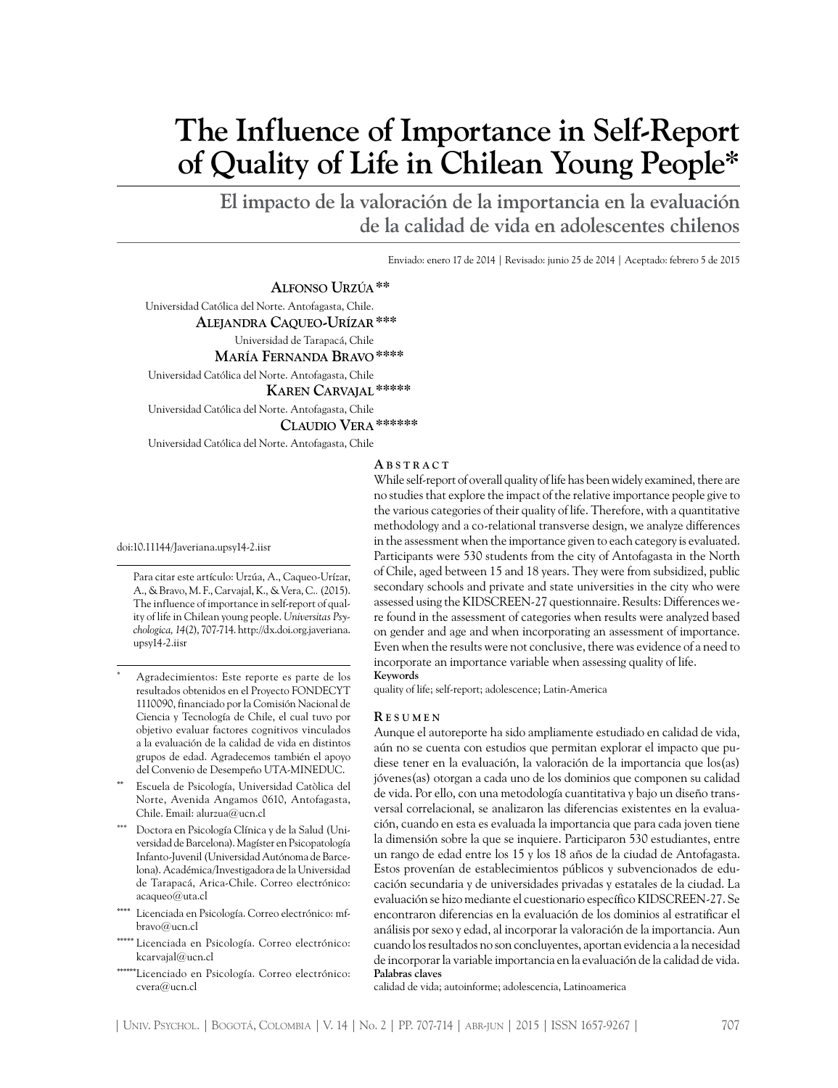# **The Influence of Importance in Self-Report of Quality of Life in Chilean Young People\***

**El impacto de la valoración de la importancia en la evaluación de la calidad de vida en adolescentes chilenos** 

Enviado: enero 17 de 2014 | Revisado: junio 25 de 2014 | Aceptado: febrero 5 de 2015

**Alfonso Urzúa\*\***

Universidad Católica del Norte. Antofagasta, Chile. **Alejandra Caqueo-Urízar\*\*\*** Universidad de Tarapacá, Chile **María Fernanda Bravo \*\*\*\*** Universidad Católica del Norte. Antofagasta, Chile **Karen Carvajal\*\*\*\*\*** Universidad Católica del Norte. Antofagasta, Chile

**Claudio Vera\*\*\*\*\*\***

Universidad Católica del Norte. Antofagasta, Chile

#### **A b s t r ac t**

doi:10.11144/Javeriana.upsy14-2.iisr

Para citar este artículo: Urzúa, A., Caqueo-Urízar, A., & Bravo, M. F., Carvajal, K., & Vera, C.*.* (2015). The influence of importance in self-report of quality of life in Chilean young people. *Universitas Psychologica, 14*(2), 707-714. http://dx.doi.org.javeriana. upsy14-2.iisr

- Agradecimientos: Este reporte es parte de los resultados obtenidos en el Proyecto FONDECYT 1110090, financiado por la Comisión Nacional de Ciencia y Tecnología de Chile, el cual tuvo por objetivo evaluar factores cognitivos vinculados a la evaluación de la calidad de vida en distintos grupos de edad. Agradecemos también el apoyo del Convenio de Desempeño UTA-MINEDUC.
- **\*\*** Escuela de Psicología, Universidad Catòlica del Norte, Avenida Angamos 0610, Antofagasta, Chile. Email: alurzua@ucn.cl
- Doctora en Psicología Clínica y de la Salud (Universidad de Barcelona). Magíster en Psicopatología Infanto-Juvenil (Universidad Autónoma de Barcelona). Académica/Investigadora de la Universidad de Tarapacá, Arica-Chile. Correo electrónico: [acaqueo@uta.cl](mailto:acaqueo@uta.cl)
- Licenciada en Psicología. Correo electrónico: [mf](mailto:mfbravo@ucn.cl)[bravo@ucn.cl](mailto:mfbravo@ucn.cl)
- **\*\*\*\*\*** Licenciada en Psicología. Correo electrónico: [kcarvajal@ucn.cl](mailto:kcarvajal@ucn.cl)
- **\*\*\*\*\*\***Licenciado en Psicología. Correo electrónico: [cvera@ucn.cl](mailto:cvera@ucn.cl)

While self-report of overall quality of life has been widely examined, there are no studies that explore the impact of the relative importance people give to the various categories of their quality of life. Therefore, with a quantitative methodology and a co-relational transverse design, we analyze differences in the assessment when the importance given to each category is evaluated. Participants were 530 students from the city of Antofagasta in the North of Chile, aged between 15 and 18 years. They were from subsidized, public secondary schools and private and state universities in the city who were assessed using the KIDSCREEN-27 questionnaire. Results: Differences were found in the assessment of categories when results were analyzed based on gender and age and when incorporating an assessment of importance. Even when the results were not conclusive, there was evidence of a need to incorporate an importance variable when assessing quality of life. **Keywords**

quality of life; self-report; adolescence; Latin-America

#### **R e s um e n**

Aunque el autoreporte ha sido ampliamente estudiado en calidad de vida, aún no se cuenta con estudios que permitan explorar el impacto que pudiese tener en la evaluación, la valoración de la importancia que los(as) jóvenes(as) otorgan a cada uno de los dominios que componen su calidad de vida. Por ello, con una metodología cuantitativa y bajo un diseño transversal correlacional, se analizaron las diferencias existentes en la evaluación, cuando en esta es evaluada la importancia que para cada joven tiene la dimensión sobre la que se inquiere. Participaron 530 estudiantes, entre un rango de edad entre los 15 y los 18 años de la ciudad de Antofagasta. Estos provenían de establecimientos públicos y subvencionados de educación secundaria y de universidades privadas y estatales de la ciudad. La evaluación se hizo mediante el cuestionario específico KIDSCREEN-27. Se encontraron diferencias en la evaluación de los dominios al estratificar el análisis por sexo y edad, al incorporar la valoración de la importancia. Aun cuando los resultados no son concluyentes, aportan evidencia a la necesidad de incorporar la variable importancia en la evaluación de la calidad de vida. **Palabras claves**

calidad de vida; autoinforme; adolescencia, Latinoamerica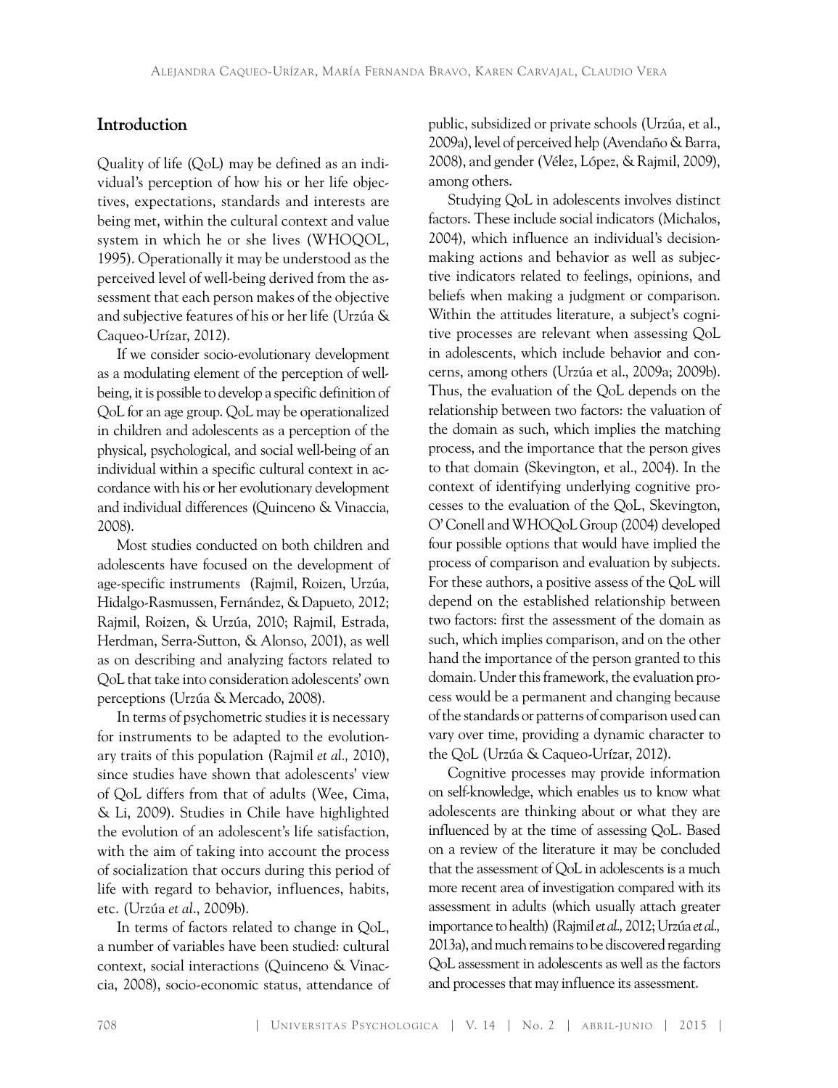# **Introduction**

Quality of life (QoL) may be defined as an individual's perception of how his or her life objectives, expectations, standards and interests are being met, within the cultural context and value system in which he or she lives (WHOQOL, 1995). Operationally it may be understood as the perceived level of well-being derived from the assessment that each person makes of the objective and subjective features of his or her life (Urzúa & Caqueo-Urízar, 2012).

If we consider socio-evolutionary development as a modulating element of the perception of wellbeing, it is possible to develop a specific definition of QoL for an age group. QoL may be operationalized in children and adolescents as a perception of the physical, psychological, and social well-being of an individual within a specific cultural context in accordance with his or her evolutionary development and individual differences (Quinceno & Vinaccia, 2008).

Most studies conducted on both children and adolescents have focused on the development of age-specific instruments (Rajmil, Roizen, Urzúa, Hidalgo-Rasmussen, Fernández, & Dapueto*,* 2012; Rajmil, Roizen, & Urzúa, 2010; Rajmil, Estrada, Herdman, Serra-Sutton, & Alonso, 2001), as well as on describing and analyzing factors related to QoL that take into consideration adolescents' own perceptions (Urzúa & Mercado, 2008).

In terms of psychometric studies it is necessary for instruments to be adapted to the evolutionary traits of this population (Rajmil *et al.,* 2010), since studies have shown that adolescents' view of QoL differs from that of adults (Wee, Cima, & Li, 2009). Studies in Chile have highlighted the evolution of an adolescent's life satisfaction, with the aim of taking into account the process of socialization that occurs during this period of life with regard to behavior, influences, habits, etc. (Urzúa *et al*., 2009b).

In terms of factors related to change in QoL, a number of variables have been studied: cultural context, social interactions (Quinceno & Vinaccia, 2008), socio-economic status, attendance of public, subsidized or private schools (Urzúa, et al., 2009a), level of perceived help (Avendaño & Barra, 2008), and gender(Vélez, López, & Rajmil, 2009), among others.

Studying QoL in adolescents involves distinct factors. These include social indicators (Michalos, 2004), which influence an individual's decisionmaking actions and behavior as well as subjective indicators related to feelings, opinions, and beliefs when making a judgment or comparison. Within the attitudes literature, a subject's cognitive processes are relevant when assessing QoL in adolescents, which include behavior and concerns, among others (Urzúa et al., 2009a; 2009b). Thus, the evaluation of the QoL depends on the relationship between two factors: the valuation of the domain as such, which implies the matching process, and the importance that the person gives to that domain (Skevington, et al., 2004). In the context of identifying underlying cognitive processes to the evaluation of the QoL, Skevington, O' Conell and WHOQoL Group (2004) developed four possible options that would have implied the process of comparison and evaluation by subjects. For these authors, a positive assess of the QoL will depend on the established relationship between two factors: first the assessment of the domain as such, which implies comparison, and on the other hand the importance of the person granted to this domain. Under this framework, the evaluation process would be a permanent and changing because of the standards or patterns of comparison used can vary over time, providing a dynamic character to the QoL (Urzúa & Caqueo-Urízar, 2012).

Cognitive processes may provide information on self-knowledge, which enables us to know what adolescents are thinking about or what they are influenced by at the time of assessing QoL. Based on a review of the literature it may be concluded that the assessment of QoL in adolescents is a much more recent area of investigation compared with its assessment in adults (which usually attach greater importance to health)(Rajmil *et al.,* 2012; Urzúa *et al.,* 2013a), and much remains to be discovered regarding QoL assessment in adolescents as well as the factors and processes that may influence its assessment.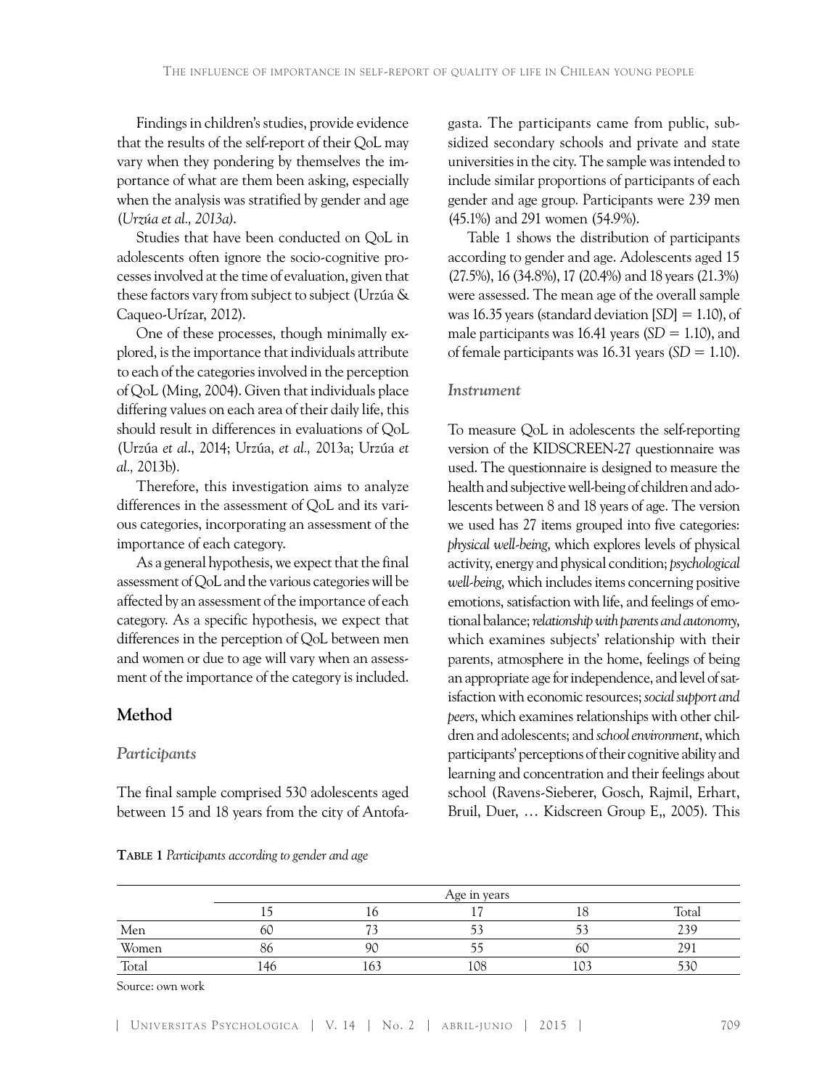Findings in children's studies, provide evidence that the results of the self-report of their QoL may vary when they pondering by themselves the importance of what are them been asking, especially when the analysis was stratified by gender and age (*Urzúa et al., 2013a)*.

Studies that have been conducted on QoL in adolescents often ignore the socio-cognitive processes involved at the time of evaluation, given that these factors vary from subject to subject (Urzúa & Caqueo-Urízar, 2012).

One of these processes, though minimally explored, is the importance that individuals attribute to each of the categories involved in the perception of QoL (Ming, 2004). Given that individuals place differing values on each area of their daily life, this should result in differences in evaluations of QoL (Urzúa *et al*., 2014; Urzúa, *et al.,* 2013a; Urzúa *et al.,* 2013b).

Therefore, this investigation aims to analyze differences in the assessment of QoL and its various categories, incorporating an assessment of the importance of each category.

As a general hypothesis, we expect that the final assessment of QoL and the various categories will be affected by an assessment of the importance of each category. As a specific hypothesis, we expect that differences in the perception of QoL between men and women or due to age will vary when an assessment of the importance of the category is included.

# **Method**

#### *Participants*

The final sample comprised 530 adolescents aged between 15 and 18 years from the city of Antofa-

**Table 1** *Participants according to gender and age*

gasta. The participants came from public, subsidized secondary schools and private and state universities in the city. The sample was intended to include similar proportions of participants of each gender and age group. Participants were 239 men (45.1%) and 291 women (54.9%).

Table 1 shows the distribution of participants according to gender and age. Adolescents aged 15 (27.5%), 16 (34.8%), 17 (20.4%) and 18 years (21.3%) were assessed. The mean age of the overall sample was 16.35 years (standard deviation [*SD*] = 1.10), of male participants was 16.41 years  $(SD = 1.10)$ , and of female participants was 16.31 years (*SD* = 1.10).

#### *Instrument*

To measure QoL in adolescents the self-reporting version of the KIDSCREEN-27 questionnaire was used. The questionnaire is designed to measure the health and subjective well-being of children and adolescents between 8 and 18 years of age. The version we used has 27 items grouped into five categories: *physical well-being*, which explores levels of physical activity, energy and physical condition; *psychological well-being*, which includes items concerning positive emotions, satisfaction with life, and feelings of emotional balance; *relationship with parents and autonomy*, which examines subjects' relationship with their parents, atmosphere in the home, feelings of being an appropriate age for independence, and level of satisfaction with economic resources; *social support and peers*, which examines relationships with other children and adolescents; and *school environment*, which participants' perceptions of their cognitive ability and learning and concentration and their feelings about school (Ravens-Sieberer, Gosch, Rajmil, Erhart, Bruil, Duer, … Kidscreen Group E,, 2005). This

|       | Age in years |     |     |        |       |  |  |  |  |  |  |  |
|-------|--------------|-----|-----|--------|-------|--|--|--|--|--|--|--|
|       |              | 16  |     | 18     | Total |  |  |  |  |  |  |  |
| Men   | OU           |     |     |        | 239   |  |  |  |  |  |  |  |
| Women | ŏb           | 90  |     | 6C     | 291   |  |  |  |  |  |  |  |
| Total | 46ء          | 163 | 108 | $\sim$ | 530   |  |  |  |  |  |  |  |

Source: own work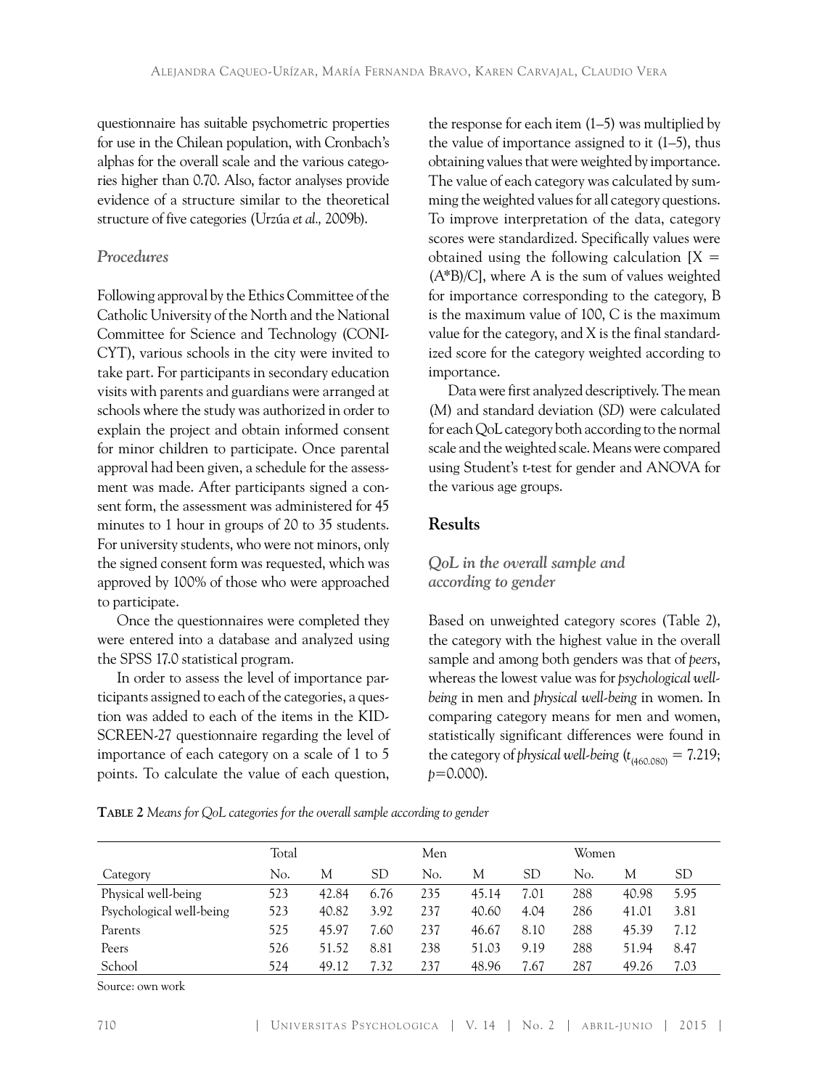questionnaire has suitable psychometric properties for use in the Chilean population, with Cronbach's alphas for the overall scale and the various categories higher than 0.70. Also, factor analyses provide evidence of a structure similar to the theoretical structure of five categories (Urzúa *et al.,* 2009b).

## *Procedures*

Following approval by the Ethics Committee of the Catholic University of the North and the National Committee for Science and Technology (CONI-CYT), various schools in the city were invited to take part. For participants in secondary education visits with parents and guardians were arranged at schools where the study was authorized in order to explain the project and obtain informed consent for minor children to participate. Once parental approval had been given, a schedule for the assessment was made. After participants signed a consent form, the assessment was administered for 45 minutes to 1 hour in groups of 20 to 35 students. For university students, who were not minors, only the signed consent form was requested, which was approved by 100% of those who were approached to participate.

Once the questionnaires were completed they were entered into a database and analyzed using the SPSS 17.0 statistical program.

In order to assess the level of importance participants assigned to each of the categories, a question was added to each of the items in the KID-SCREEN-27 questionnaire regarding the level of importance of each category on a scale of 1 to 5 points. To calculate the value of each question,

the response for each item (1–5) was multiplied by the value of importance assigned to it  $(1-5)$ , thus obtaining values that were weighted by importance. The value of each category was calculated by summing the weighted values for all category questions. To improve interpretation of the data, category scores were standardized. Specifically values were obtained using the following calculation  $[X =$ (A\*B)/C], where A is the sum of values weighted for importance corresponding to the category, B is the maximum value of 100, C is the maximum value for the category, and X is the final standardized score for the category weighted according to importance.

Data were first analyzed descriptively. The mean (*M*) and standard deviation (*SD*) were calculated for each QoL category both according to the normal scale and the weighted scale. Means were compared using Student's t-test for gender and ANOVA for the various age groups.

# **Results**

# *QoL in the overall sample and according to gender*

Based on unweighted category scores (Table 2), the category with the highest value in the overall sample and among both genders was that of *peers*, whereas the lowest value was for *psychological wellbeing* in men and *physical well-being* in women. In comparing category means for men and women, statistically significant differences were found in the category of *physical well-being*  $(t_{(460.080)} = 7.219;$ *p*=0.000).

**Table 2** *Means for QoL categories for the overall sample according to gender*

|                          | Total |       |      | Men |       |      | Women |       |      |  |
|--------------------------|-------|-------|------|-----|-------|------|-------|-------|------|--|
| Category                 | No.   | М     | SD   | No. | М     | SD   | No.   | М     | SD   |  |
| Physical well-being      | 523   | 42.84 | 6.76 | 235 | 45.14 | 7.01 | 288   | 40.98 | 5.95 |  |
| Psychological well-being | 523   | 40.82 | 3.92 | 237 | 40.60 | 4.04 | 286   | 41.01 | 3.81 |  |
| Parents                  | 525   | 45.97 | 7.60 | 237 | 46.67 | 8.10 | 288   | 45.39 | 7.12 |  |
| Peers                    | 526   | 51.52 | 8.81 | 238 | 51.03 | 9.19 | 288   | 51.94 | 8.47 |  |
| School                   | 524   | 49.12 | 7.32 | 237 | 48.96 | 7.67 | 287   | 49.26 | 7.03 |  |

Source: own work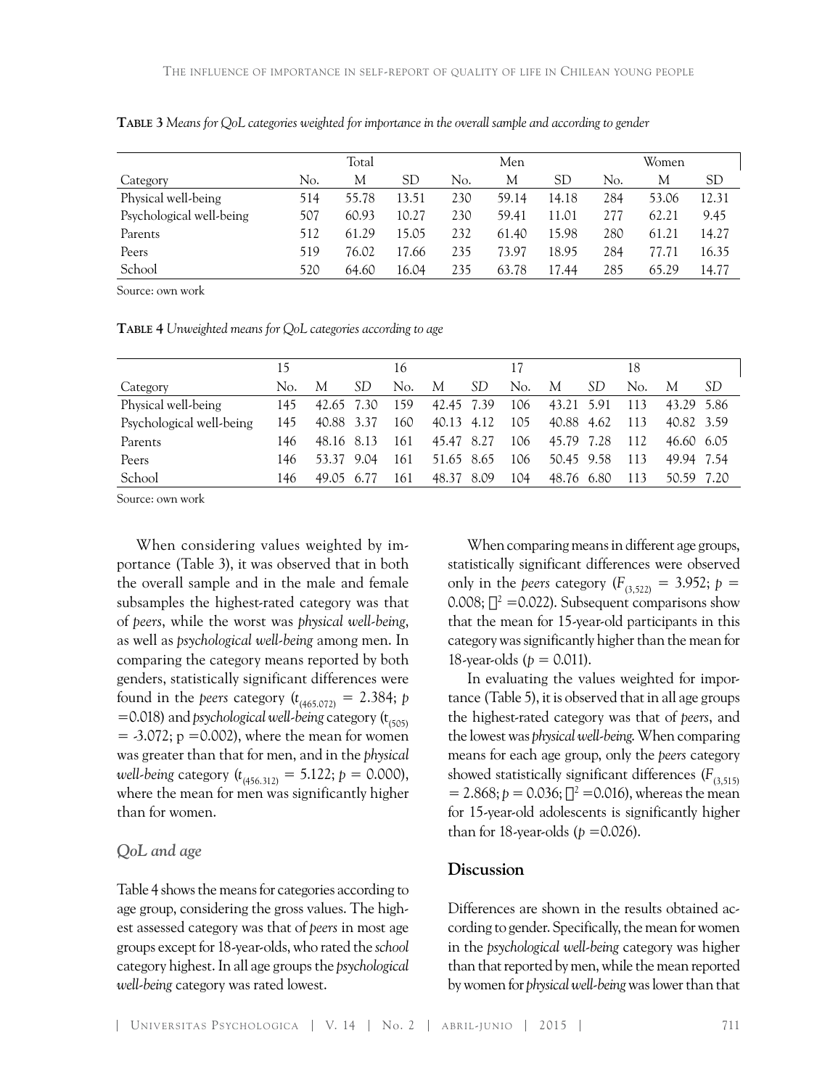|                          |     | Total |       |     | Men   |           | Women |       |       |  |
|--------------------------|-----|-------|-------|-----|-------|-----------|-------|-------|-------|--|
| Category                 | No. | M     | SD.   | No. | M     | <b>SD</b> | No.   | M     | SD    |  |
| Physical well-being      | 514 | 55.78 | 13.51 | 230 | 59.14 | 14.18     | 284   | 53.06 | 12.31 |  |
| Psychological well-being | 507 | 60.93 | 10.27 | 230 | 59.41 | 11.01     | 277   | 62.21 | 9.45  |  |
| Parents                  | 512 | 61.29 | 15.05 | 232 | 61.40 | 15.98     | 280   | 61.21 | 14.27 |  |
| Peers                    | 519 | 76.02 | 17.66 | 235 | 73.97 | 18.95     | 284   | 77.71 | 16.35 |  |
| School                   | 520 | 64.60 | 16.04 | 235 | 63.78 | 17.44     | 285   | 65.29 | 14.77 |  |

**Table 3** *Means for QoL categories weighted for importance in the overall sample and according to gender*

Source: own work

**Table 4** *Unweighted means for QoL categories according to age*

|                          | 15  |            |     | 16  |            |    | 17  |            |     | 18  |            |    |
|--------------------------|-----|------------|-----|-----|------------|----|-----|------------|-----|-----|------------|----|
| Category                 | No. | М          | SD. | No. | M          | SD | No. | М          | SD. | No. | М          | SD |
| Physical well-being      | 145 | 42.65 7.30 |     | 159 | 42.45 7.39 |    | 106 | 43.21 5.91 |     | 113 | 43.29 5.86 |    |
| Psychological well-being | 145 | 40.88 3.37 |     | 160 | 40.13 4.12 |    | 105 | 40.88 4.62 |     | 113 | 40.82 3.59 |    |
| Parents                  | 146 | 48.16 8.13 |     | 161 | 45.47 8.27 |    | 106 | 45.79 7.28 |     | 112 | 46.60 6.05 |    |
| Peers                    | 146 | 53.37 9.04 |     | 161 | 51.65 8.65 |    | 106 | 50.45 9.58 |     | 113 | 49.94 7.54 |    |
| School                   | 146 | 49.05 6.77 |     | 161 | 48.37 8.09 |    | 104 | 48.76 6.80 |     | 113 | 50.59 7.20 |    |

Source: own work

When considering values weighted by importance (Table 3), it was observed that in both the overall sample and in the male and female subsamples the highest-rated category was that of *peers*, while the worst was *physical well-being*, as well as *psychological well-being* among men. In comparing the category means reported by both genders, statistically significant differences were found in the *peers* category (*t* (465.072) = 2.384; *p* =0.018) and *psychological well-being* category (t<sub>(505)</sub>  $=$  -3.072; p = 0.002), where the mean for women was greater than that for men, and in the *physical well-being* category (*t* (456.312) = 5.122; *p* = 0.000), where the mean for men was significantly higher than for women.

#### *QoL and age*

Table 4 shows the means for categories according to age group, considering the gross values. The highest assessed category was that of *peers* in most age groups except for 18-year-olds, who rated the *school* category highest. In all age groups the *psychological well-being* category was rated lowest.

When comparing means in different age groups, statistically significant differences were observed only in the *peers* category ( $F_{(3,522)} = 3.952$ ; *p* = 0.008;  $\Box^2$  =0.022). Subsequent comparisons show that the mean for 15-year-old participants in this category was significantly higher than the mean for 18-year-olds (*p* = 0.011).

In evaluating the values weighted for importance (Table 5), it is observed that in all age groups the highest-rated category was that of *peers*, and the lowest was *physical well-being*. When comparing means for each age group, only the *peers* category showed statistically significant differences  $(F_{(3,515)}$  $= 2.868; p = 0.036; \square^2 = 0.016$ , whereas the mean for 15-year-old adolescents is significantly higher than for 18-year-olds  $(p = 0.026)$ .

## **Discussion**

Differences are shown in the results obtained according to gender. Specifically, the mean for women in the *psychological well-being* category was higher than that reported by men, while the mean reported by women for *physical well-being* was lower than that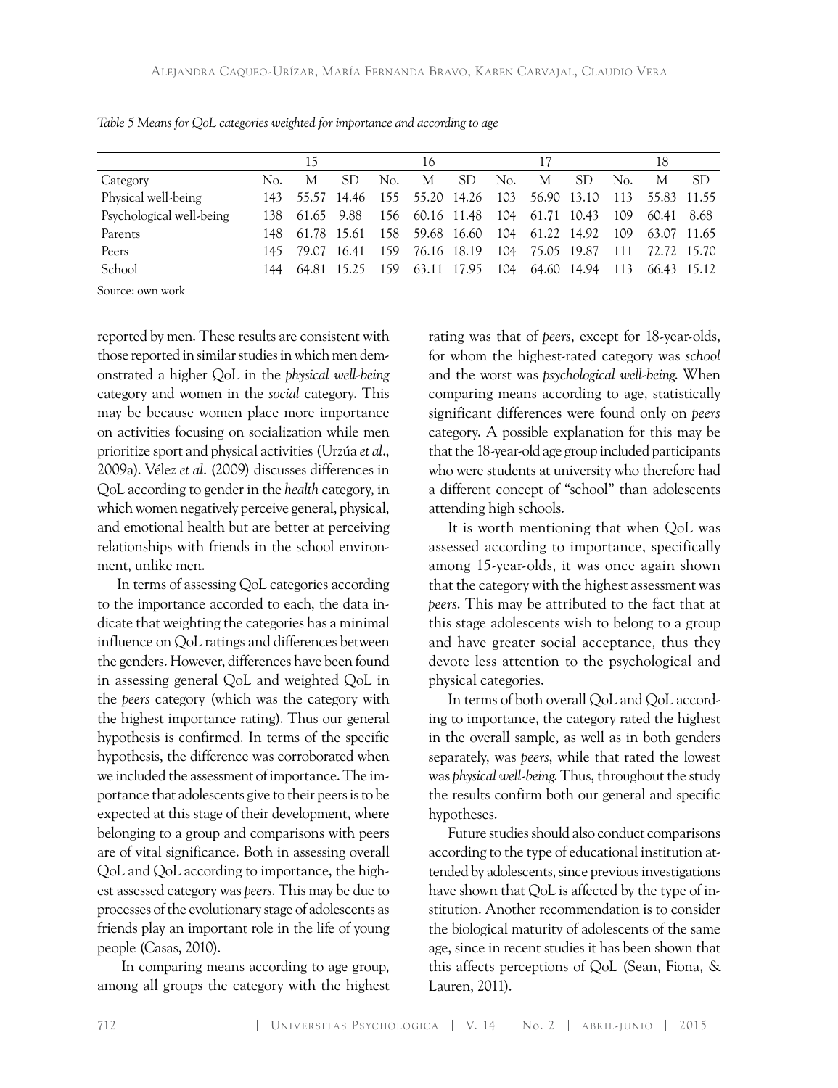|                          |     | 15          |     |     | 16                                              |     |                | 17          |     |     | 18              |     |
|--------------------------|-----|-------------|-----|-----|-------------------------------------------------|-----|----------------|-------------|-----|-----|-----------------|-----|
| Category                 | No. | M           | SD. | No. | M                                               | SD. | N <sub>o</sub> | M           | SD. | No. | M               | -SD |
| Physical well-being      |     |             |     |     | 143 55.57 14.46 155 55.20 14.26 103 56.90 13.10 |     |                |             |     |     | 113 55.83 11.55 |     |
| Psychological well-being | 138 | 61.65 9.88  |     |     | 156 60.16 11.48 104 61.71 10.43                 |     |                |             |     | 109 | 60.41 8.68      |     |
| Parents                  |     |             |     |     | 148 61.78 15.61 158 59.68 16.60 104 61.22 14.92 |     |                |             |     | 109 | 63.07 11.65     |     |
| Peers                    | 145 | 79.07 16.41 |     |     | 159 76.16 18.19 104 75.05 19.87                 |     |                |             |     |     | 111 72.72 15.70 |     |
| School                   | 144 |             |     |     | 64.81 15.25 159 63.11 17.95 104                 |     |                | 64.60 14.94 |     | 113 | 66.43 15.12     |     |

*Table 5 Means for QoL categories weighted for importance and according to age*

Source: own work

reported by men. These results are consistent with those reported in similar studies in which men demonstrated a higher QoL in the *physical well-being* category and women in the *social* category. This may be because women place more importance on activities focusing on socialization while men prioritize sport and physical activities(Urzúa *et al*., 2009a). Vélez *et al*. (2009) discusses differences in QoL according to gender in the *health* category, in which women negatively perceive general, physical, and emotional health but are better at perceiving relationships with friends in the school environment, unlike men.

In terms of assessing QoL categories according to the importance accorded to each, the data indicate that weighting the categories has a minimal influence on QoL ratings and differences between the genders. However, differences have been found in assessing general QoL and weighted QoL in the *peers* category (which was the category with the highest importance rating). Thus our general hypothesis is confirmed. In terms of the specific hypothesis, the difference was corroborated when we included the assessment of importance. The importance that adolescents give to their peers is to be expected at this stage of their development, where belonging to a group and comparisons with peers are of vital significance. Both in assessing overall QoL and QoL according to importance, the highest assessed category was *peers.* This may be due to processes of the evolutionary stage of adolescents as friends play an important role in the life of young people (Casas, 2010).

 In comparing means according to age group, among all groups the category with the highest rating was that of *peers*, except for 18-year-olds, for whom the highest-rated category was *school* and the worst was *psychological well-being*. When comparing means according to age, statistically significant differences were found only on *peers* category. A possible explanation for this may be that the 18-year-old age group included participants who were students at university who therefore had a different concept of "school" than adolescents attending high schools.

It is worth mentioning that when QoL was assessed according to importance, specifically among 15-year-olds, it was once again shown that the category with the highest assessment was *peers*. This may be attributed to the fact that at this stage adolescents wish to belong to a group and have greater social acceptance, thus they devote less attention to the psychological and physical categories.

In terms of both overall QoL and QoL according to importance, the category rated the highest in the overall sample, as well as in both genders separately, was *peers*, while that rated the lowest was *physical well-being*. Thus, throughout the study the results confirm both our general and specific hypotheses.

Future studies should also conduct comparisons according to the type of educational institution attended by adolescents, since previous investigations have shown that QoL is affected by the type of institution. Another recommendation is to consider the biological maturity of adolescents of the same age, since in recent studies it has been shown that this affects perceptions of QoL (Sean, Fiona, & Lauren, 2011).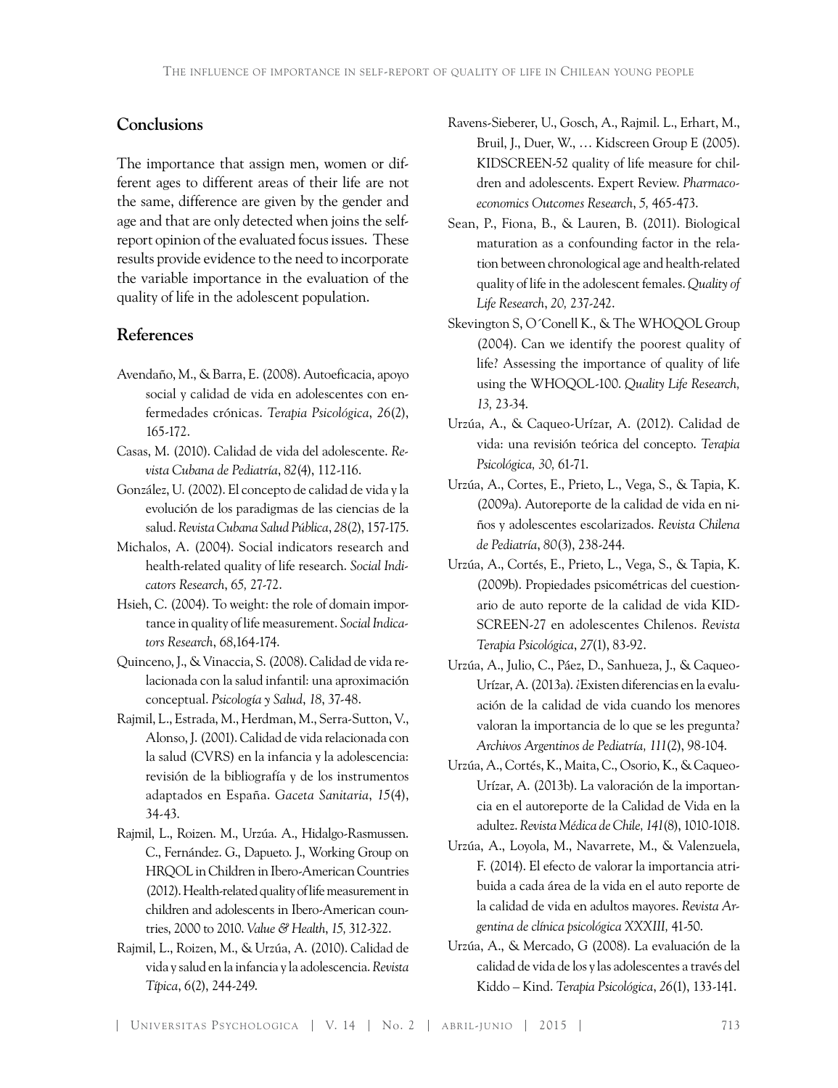## **Conclusions**

The importance that assign men, women or different ages to different areas of their life are not the same, difference are given by the gender and age and that are only detected when joins the selfreport opinion of the evaluated focus issues. These results provide evidence to the need to incorporate the variable importance in the evaluation of the quality of life in the adolescent population.

# **References**

- Avendaño, M., & Barra, E. (2008). Autoeficacia, apoyo social y calidad de vida en adolescentes con enfermedades crónicas. *Terapia Psicológica*, *26*(2), 165-172.
- Casas, M. (2010). Calidad de vida del adolescente. *Revista Cubana de Pediatría*, *82*(4), 112-116.
- González, U. (2002). El concepto de calidad de vida y la evolución de los paradigmas de las ciencias de la salud. *Revista Cubana Salud Pública*, *28*(2), 157-175.
- Michalos, A. (2004). Social indicators research and health-related quality of life research. *Social Indicators Research*, *65,* 27-72.
- Hsieh, C. (2004). To weight: the role of domain importance in quality of life measurement. *Social Indicators Research*, *68*,164-174.
- Quinceno, J., & Vinaccia, S. (2008). Calidad de vida relacionada con la salud infantil: una aproximación conceptual. *Psicología y Salud*, *18*, 37-48.
- Rajmil, L., Estrada, M., Herdman, M., Serra-Sutton, V., Alonso, J. (2001). Calidad de vida relacionada con la salud (CVRS) en la infancia y la adolescencia: revisión de la bibliografía y de los instrumentos adaptados en España. *Gaceta Sanitaria*, *15*(4), 34-43.
- Rajmil, L., Roizen. M., Urzúa. A., Hidalgo-Rasmussen. C., Fernández. G., Dapueto. J., Working Group on HRQOL in Children in Ibero-American Countries (2012). Health-related quality of life measurement in children and adolescents in Ibero-American countries, 2000 to 2010. *Value & Health*, *15,* 312-322.
- Rajmil, L., Roizen, M., & Urzúa, A. (2010). Calidad de vida y salud en la infancia y la adolescencia. *Revista Típica*, *6*(2), 244-249.
- Ravens-Sieberer, U., Gosch, A., Rajmil. L., Erhart, M., Bruil, J., Duer, W., … Kidscreen Group E (2005). KIDSCREEN-52 quality of life measure for children and adolescents. Expert Review. *Pharmacoeconomics Outcomes Research*, *5,* 465-473.
- Sean, P., Fiona, B., & Lauren, B. (2011). Biological maturation as a confounding factor in the relation between chronological age and health-related quality of life in the adolescent females. *Quality of Life Research*, *20,* 237-242.
- Skevington S, O´Conell K., & The WHOQOL Group (2004). Can we identify the poorest quality of life? Assessing the importance of quality of life using the WHOQOL-100. *Quality Life Research, 13,* 23-34.
- Urzúa, A., & Caqueo-Urízar, A. (2012). Calidad de vida: una revisión teórica del concepto. *Terapia Psicológica, 30,* 61-71.
- Urzúa, A., Cortes, E., Prieto, L., Vega, S., & Tapia, K. (2009a). Autoreporte de la calidad de vida en niños y adolescentes escolarizados. *Revista Chilena de Pediatría*, *80*(3), 238-244.
- Urzúa, A., Cortés, E., Prieto, L., Vega, S., & Tapia, K. (2009b). Propiedades psicométricas del cuestionario de auto reporte de la calidad de vida KID-SCREEN-27 en adolescentes Chilenos. *Revista Terapia Psicológica*, *27*(1), 83-92.
- Urzúa, A., Julio, C., Páez, D., Sanhueza, J., & Caqueo-Urízar, A. (2013a). ¿Existen diferencias en la evaluación de la calidad de vida cuando los menores valoran la importancia de lo que se les pregunta? *Archivos Argentinos de Pediatría, 111*(2), 98-104.
- Urzúa, A., Cortés, K., Maita, C., Osorio, K., & Caqueo-Urízar, A. (2013b). La valoración de la importancia en el autoreporte de la Calidad de Vida en la adultez. *Revista Médica de Chile, 141*(8), 1010-1018.
- Urzúa, A., Loyola, M., Navarrete, M., & Valenzuela, F. (2014). El efecto de valorar la importancia atribuida a cada área de la vida en el auto reporte de la calidad de vida en adultos mayores. *Revista Argentina de clínica psicológica XXXIII,* 41-50.
- Urzúa, A., & Mercado, G (2008). La evaluación de la calidad de vida de los y las adolescentes a través del Kiddo – Kind. *Terapia Psicológica*, *26*(1), 133-141.

Un i v e r s i ta s Ps yc h o l o g i c a V. 14 No. 2 a br i l-ju n io 2015 713